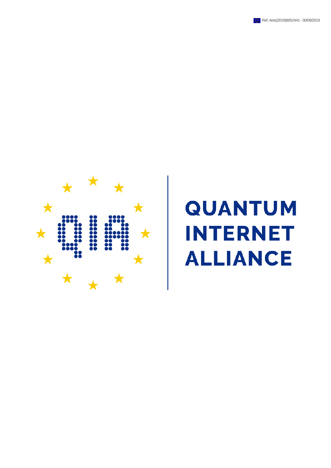



# **QUANTUM INTERNET ALLIANCE**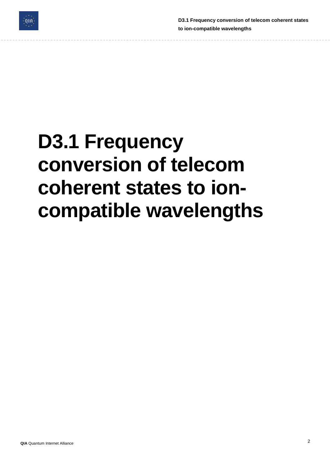

**D3.1 Frequency conversion of telecom coherent states to ion-compatible wavelengths**

## **D3.1 Frequency conversion of telecom coherent states to ioncompatible wavelengths**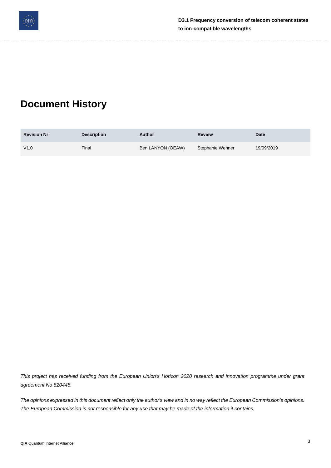

**D3.1 Frequency conversion of telecom coherent states to ion-compatible wavelengths**

## **Document History**

| <b>Revision Nr</b> | <b>Description</b> | Author            | <b>Review</b>    | Date       |
|--------------------|--------------------|-------------------|------------------|------------|
| V1.0               | Final              | Ben LANYON (OEAW) | Stephanie Wehner | 19/09/2019 |

This project has received funding from the European Union's Horizon 2020 research and innovation programme under grant *agreement No 820445.*

The opinions expressed in this document reflect only the author's view and in no way reflect the European Commission's opinions. The European Commission is not responsible for any use that may be made of the information it contains.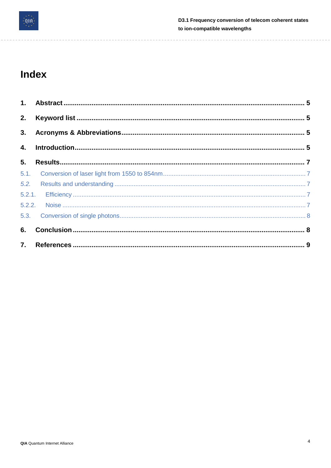

 $\sim$   $-$ 

 $- - -$ 

---------

L.

#### Index

| 3. |  |
|----|--|
| 4. |  |
| 5. |  |
|    |  |
|    |  |
|    |  |
|    |  |
|    |  |
| 6. |  |
|    |  |

 $\frac{1}{2} \frac{1}{2} \frac{1}{2} \frac{1}{2} \frac{1}{2} \frac{1}{2} \frac{1}{2} \frac{1}{2} \frac{1}{2} \frac{1}{2} \frac{1}{2} \frac{1}{2} \frac{1}{2} \frac{1}{2} \frac{1}{2} \frac{1}{2} \frac{1}{2} \frac{1}{2} \frac{1}{2} \frac{1}{2} \frac{1}{2} \frac{1}{2} \frac{1}{2} \frac{1}{2} \frac{1}{2} \frac{1}{2} \frac{1}{2} \frac{1}{2} \frac{1}{2} \frac{1}{2} \frac{1}{2} \frac{$ 

 $- - -$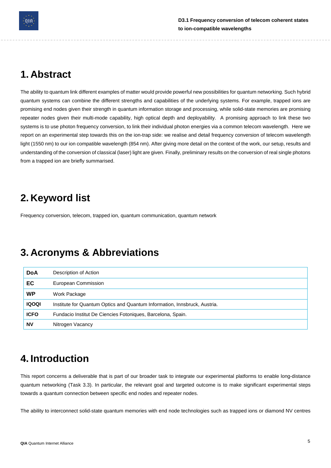

## <span id="page-4-0"></span>**1. Abstract**

The ability to quantum link different examples of matter would provide powerful new possibilities for quantum networking. Such hybrid quantum systems can combine the different strengths and capabilities of the underlying systems. For example, trapped ions are promising end nodes given their strength in quantum information storage and processing, while solid-state memories are promising repeater nodes given their multi-mode capability, high optical depth and deployability. A promising approach to link these two systems is to use photon frequency conversion, to link their individual photon energies via a common telecom wavelength. Here we report on an experimental step towards this on the ion-trap side: we realise and detail frequency conversion of telecom wavelength light (1550 nm) to our ion compatible wavelength (854 nm). After giving more detail on the context of the work, our setup, results and understanding of the conversion of classical (laser) light are given. Finally, preliminary results on the conversion of real single photons from a trapped ion are briefly summarised.

## <span id="page-4-1"></span>**2. Keyword list**

Frequency conversion, telecom, trapped ion, quantum communication, quantum network

## <span id="page-4-2"></span>**3. Acronyms & Abbreviations**

| <b>DoA</b>   | Description of Action                                                     |
|--------------|---------------------------------------------------------------------------|
| EC           | European Commission                                                       |
| <b>WP</b>    | Work Package                                                              |
| <b>10001</b> | Institute for Quantum Optics and Quantum Information, Innsbruck, Austria. |
| <b>ICFO</b>  | Fundacio Institut De Ciencies Fotoniques, Barcelona, Spain.               |
| <b>NV</b>    | Nitrogen Vacancy                                                          |

## <span id="page-4-3"></span>**4. Introduction**

This report concerns a deliverable that is part of our broader task to integrate our experimental platforms to enable long-distance quantum networking (Task 3.3). In particular, the relevant goal and targeted outcome is to make significant experimental steps towards a quantum connection between specific end nodes and repeater nodes.

The ability to interconnect solid-state quantum memories with end node technologies such as trapped ions or diamond NV centres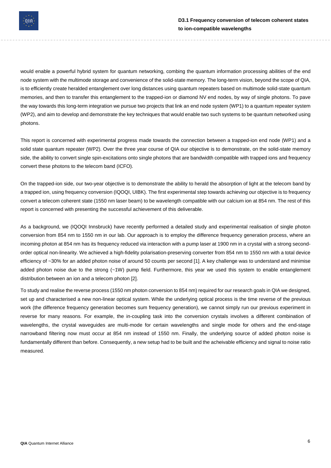

would enable a powerful hybrid system for quantum networking, combing the quantum information processing abilities of the end node system with the multimode storage and convenience of the solid-state memory. The long-term vision, beyond the scope of QIA, is to efficiently create heralded entanglement over long distances using quantum repeaters based on multimode solid-state quantum memories, and then to transfer this entanglement to the trapped-ion or diamond NV end nodes, by way of single photons. To pave the way towards this long-term integration we pursue two projects that link an end node system (WP1) to a quantum repeater system (WP2), and aim to develop and demonstrate the key techniques that would enable two such systems to be quantum networked using photons.

This report is concerned with experimental progress made towards the connection between a trapped-ion end node (WP1) and a solid state quantum repeater (WP2). Over the three year course of QIA our objective is to demonstrate, on the solid-state memory side, the ability to convert single spin-excitations onto single photons that are bandwidth compatible with trapped ions and frequency convert these photons to the telecom band (ICFO).

On the trapped-ion side, our two-year objective is to demonstrate the ability to herald the absorption of light at the telecom band by a trapped ion, using frequency conversion (IQOQI, UIBK). The first experimental step towards achieving our objective is to frequency convert a telecom coherent state (1550 nm laser beam) to be wavelength compatible with our calcium ion at 854 nm. The rest of this report is concerned with presenting the successful achievement of this deliverable.

As a background, we (IQOQI Innsbruck) have recently performed a detailed study and experimental realisation of single photon conversion from 854 nm to 1550 nm in our lab. Our approach is to employ the difference frequency generation process, where an incoming photon at 854 nm has its frequency reduced via interaction with a pump laser at 1900 nm in a crystal with a strong secondorder optical non-linearity. We achieved a high-fidelity polarisation-preserving converter from 854 nm to 1550 nm with a total device efficiency of ~30% for an added photon noise of around 50 counts per second [1]. A key challenge was to understand and minimise added photon noise due to the strong (~1W) pump field. Furthermore, this year we used this system to enable entanglement distribution between an ion and a telecom photon [2].

To study and realise the reverse process (1550 nm photon conversion to 854 nm) required for our research goals in QIA we designed, set up and characterised a new non-linear optical system. While the underlying optical process is the time reverse of the previous work (the difference frequency generation becomes sum frequency generation), we cannot simply run our previous experiment in reverse for many reasons. For example, the in-coupling task into the conversion crystals involves a different combination of wavelengths, the crystal waveguides are multi-mode for certain wavelengths and single mode for others and the end-stage narrowband filtering now must occur at 854 nm instead of 1550 nm. Finally, the underlying source of added photon noise is fundamentally different than before. Consequently, a new setup had to be built and the acheivable efficiency and signal to noise ratio measured.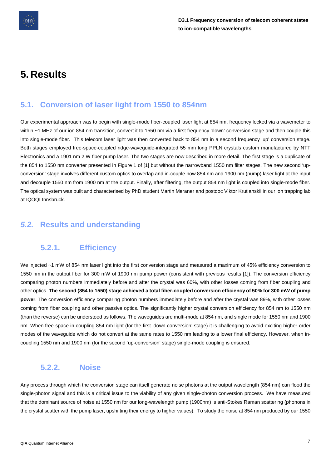

## <span id="page-6-0"></span>**5. Results**

#### <span id="page-6-1"></span>**5.1. Conversion of laser light from 1550 to 854nm**

Our experimental approach was to begin with single-mode fiber-coupled laser light at 854 nm, frequency locked via a wavemeter to within ~1 MHz of our ion 854 nm transition, convert it to 1550 nm via a first frequency 'down' conversion stage and then couple this into single-mode fiber. This telecom laser light was then converted back to 854 nm in a second frequency 'up' conversion stage. Both stages employed free-space-coupled ridge-waveguide-integrated 55 mm long PPLN crystals custom manufactured by NTT Electronics and a 1901 nm 2 W fiber pump laser. The two stages are now described in more detail. The first stage is a duplicate of the 854 to 1550 nm converter presented in Figure 1 of [1] but without the narrowband 1550 nm filter stages. The new second 'upconversion' stage involves different custom optics to overlap and in-couple now 854 nm and 1900 nm (pump) laser light at the input and decouple 1550 nm from 1900 nm at the output. Finally, after filtering, the output 854 nm light is coupled into single-mode fiber. The optical system was built and characterised by PhD student Martin Meraner and postdoc Viktor Krutianskii in our ion trapping lab at IQOQI Innsbruck.

#### <span id="page-6-3"></span><span id="page-6-2"></span>*5.2.* **Results and understanding**

#### **5.2.1. Efficiency**

We injected ~1 mW of 854 nm laser light into the first conversion stage and measured a maximum of 45% efficiency conversion to 1550 nm in the output fiber for 300 mW of 1900 nm pump power (consistent with previous results [1]). The conversion efficiency comparing photon numbers immediately before and after the crystal was 60%, with other losses coming from fiber coupling and other optics. The second (854 to 1550) stage achieved a total fiber-coupled conversion efficiency of 50% for 300 mW of pump **power**. The conversion efficiency comparing photon numbers immediately before and after the crystal was 89%, with other losses coming from fiber coupling and other passive optics. The significantly higher crystal conversion efficiency for 854 nm to 1550 nm (than the reverse) can be understood as follows. The waveguides are multi-mode at 854 nm, and single mode for 1550 nm and 1900 nm. When free-space in-coupling 854 nm light (for the first 'down conversion' stage) it is challenging to avoid exciting higher-order modes of the waveguide which do not convert at the same rates to 1550 nm leading to a lower final efficiency. However, when incoupling 1550 nm and 1900 nm (for the second 'up-conversion' stage) single-mode coupling is ensured.

#### <span id="page-6-4"></span>**5.2.2. Noise**

Any process through which the conversion stage can itself generate noise photons at the output wavelength (854 nm) can flood the single-photon signal and this is a critical issue to the viability of any given single-photon conversion process. We have measured that the dominant source of noise at 1550 nm for our long-wavelength pump (1900nm) is anti-Stokes Raman scattering (phonons in the crystal scatter with the pump laser, upshifting their energy to higher values). To study the noise at 854 nm produced by our 1550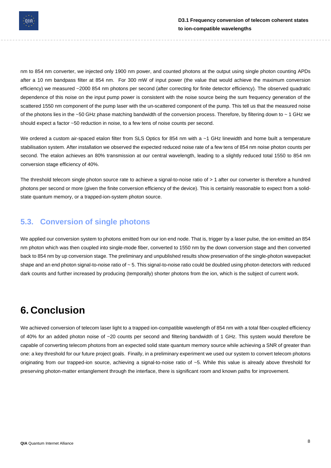

nm to 854 nm converter, we injected only 1900 nm power, and counted photons at the output using single photon counting APDs after a 10 nm bandpass filter at 854 nm. For 300 mW of input power (the value that would achieve the maximum conversion efficiency) we measured ~2000 854 nm photons per second (after correcting for finite detector efficiency). The observed quadratic dependence of this noise on the input pump power is consistent with the noise source being the sum frequency generation of the scattered 1550 nm component of the pump laser with the un-scattered component of the pump. This tell us that the measured noise of the photons lies in the ~50 GHz phase matching bandwidth of the conversion process. Therefore, by filtering down to ~ 1 GHz we should expect a factor ~50 reduction in noise, to a few tens of noise counts per second.

We ordered a custom air-spaced etalon filter from SLS Optics for 854 nm with a ~1 GHz linewidth and home built a temperature stabilisation system. After installation we observed the expected reduced noise rate of a few tens of 854 nm noise photon counts per second. The etalon achieves an 80% transmission at our central wavelength, leading to a slightly reduced total 1550 to 854 nm conversion stage efficiency of 40%.

The threshold telecom single photon source rate to achieve a signal-to-noise ratio of > 1 after our converter is therefore a hundred photons per second or more (given the finite conversion efficiency of the device). This is certainly reasonable to expect from a solidstate quantum memory, or a trapped-ion-system photon source.

#### <span id="page-7-0"></span>**5.3. Conversion of single photons**

We applied our conversion system to photons emitted from our ion end node. That is, trigger by a laser pulse, the ion emitted an 854 nm photon which was then coupled into single-mode fiber, converted to 1550 nm by the down conversion stage and then converted back to 854 nm by up conversion stage. The preliminary and unpublished results show preservation of the single-photon wavepacket shape and an end photon signal-to-noise ratio of  $\sim$  5. This signal-to-noise ratio could be doubled using photon detectors with reduced dark counts and further increased by producing (temporally) shorter photons from the ion, which is the subject of current work.

## <span id="page-7-1"></span>**6. Conclusion**

We achieved conversion of telecom laser light to a trapped ion-compatible wavelength of 854 nm with a total fiber-coupled efficiency of 40% for an added photon noise of ~20 counts per second and filtering bandwidth of 1 GHz. This system would therefore be capable of converting telecom photons from an expected solid state quantum memory source while achieving a SNR of greater than one: a key threshold for our future project goals. Finally, in a preliminary experiment we used our system to convert telecom photons originating from our trapped-ion source, achieving a signal-to-noise ratio of ~5. While this value is already above threshold for preserving photon-matter entanglement through the interface, there is significant room and known paths for improvement.